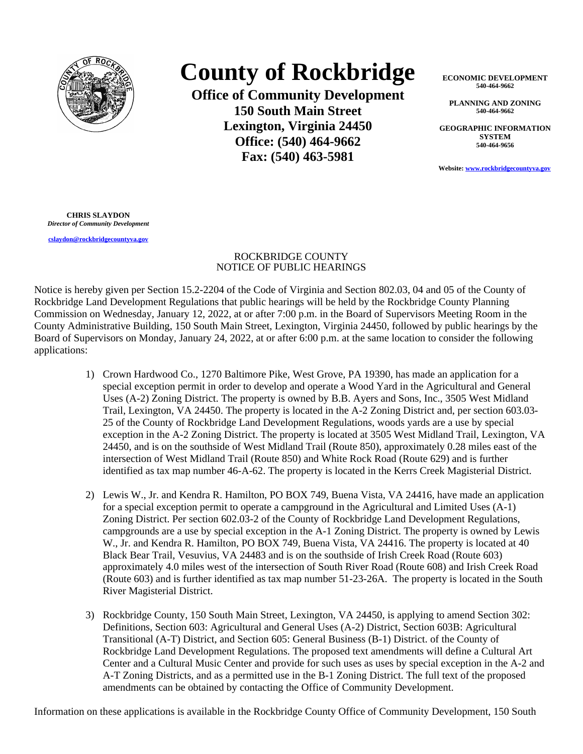

## **County of Rockbridge**

**Office of Community Development 150 South Main Street Lexington, Virginia 24450 Office: (540) 464-9662 Fax: (540) 463-5981**

**ECONOMIC DEVELOPMENT 540-464-9662**

**PLANNING AND ZONING 540-464-9662**

**GEOGRAPHIC INFORMATION SYSTEM 540-464-9656**

**Website: [www.rockbridgecountyva.gov](http://www.rockbridgecountyva.gov)**

**CHRIS SLAYDON** *Director of Community Development*

**[cslaydon@rockbridgecountyva.gov](mailto:cslaydon@rockbridgecountyva.gov)**

## ROCKBRIDGE COUNTY NOTICE OF PUBLIC HEARINGS

Notice is hereby given per Section 15.2-2204 of the Code of Virginia and Section 802.03, 04 and 05 of the County of Rockbridge Land Development Regulations that public hearings will be held by the Rockbridge County Planning Commission on Wednesday, January 12, 2022, at or after 7:00 p.m. in the Board of Supervisors Meeting Room in the County Administrative Building, 150 South Main Street, Lexington, Virginia 24450, followed by public hearings by the Board of Supervisors on Monday, January 24, 2022, at or after 6:00 p.m. at the same location to consider the following applications:

- 1) Crown Hardwood Co., 1270 Baltimore Pike, West Grove, PA 19390, has made an application for a special exception permit in order to develop and operate a Wood Yard in the Agricultural and General Uses (A-2) Zoning District. The property is owned by B.B. Ayers and Sons, Inc., 3505 West Midland Trail, Lexington, VA 24450. The property is located in the A-2 Zoning District and, per section 603.03- 25 of the County of Rockbridge Land Development Regulations, woods yards are a use by special exception in the A-2 Zoning District. The property is located at 3505 West Midland Trail, Lexington, VA 24450, and is on the southside of West Midland Trail (Route 850), approximately 0.28 miles east of the intersection of West Midland Trail (Route 850) and White Rock Road (Route 629) and is further identified as tax map number 46-A-62. The property is located in the Kerrs Creek Magisterial District.
- 2) Lewis W., Jr. and Kendra R. Hamilton, PO BOX 749, Buena Vista, VA 24416, have made an application for a special exception permit to operate a campground in the Agricultural and Limited Uses (A-1) Zoning District. Per section 602.03-2 of the County of Rockbridge Land Development Regulations, campgrounds are a use by special exception in the A-1 Zoning District. The property is owned by Lewis W., Jr. and Kendra R. Hamilton, PO BOX 749, Buena Vista, VA 24416. The property is located at 40 Black Bear Trail, Vesuvius, VA 24483 and is on the southside of Irish Creek Road (Route 603) approximately 4.0 miles west of the intersection of South River Road (Route 608) and Irish Creek Road (Route 603) and is further identified as tax map number 51-23-26A. The property is located in the South River Magisterial District.
- 3) Rockbridge County, 150 South Main Street, Lexington, VA 24450, is applying to amend Section 302: Definitions, Section 603: Agricultural and General Uses (A-2) District, Section 603B: Agricultural Transitional (A-T) District, and Section 605: General Business (B-1) District. of the County of Rockbridge Land Development Regulations. The proposed text amendments will define a Cultural Art Center and a Cultural Music Center and provide for such uses as uses by special exception in the A-2 and A-T Zoning Districts, and as a permitted use in the B-1 Zoning District. The full text of the proposed amendments can be obtained by contacting the Office of Community Development.

Information on these applications is available in the Rockbridge County Office of Community Development, 150 South